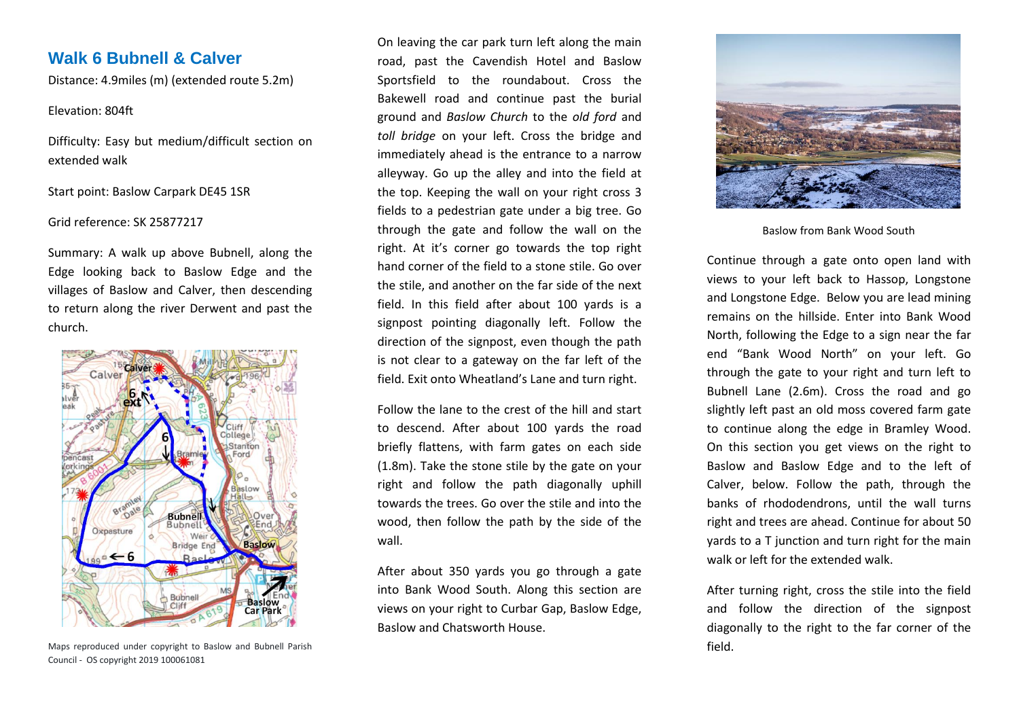# **Walk 6 Bubnell & Calver**

Distance: 4.9miles (m) (extended route 5.2m)

# Elevation: 804ft

Difficulty: Easy but medium/difficult section on extended walk

Start point: Baslow Carpark DE45 1SR

# Grid reference: SK 25877217

Summary: A walk up above Bubnell, along the Edge looking back to Baslow Edge and the villages of Baslow and Calver, then descending to return along the river Derwent and past the church.



Maps reproduced under copyright to Baslow and Bubnell Parish Council - OS copyright 2019 100061081

On leaving the car park turn left along the main road, past the Cavendish Hotel and Baslow Sportsfield to the roundabout. Cross the Bakewell road and continue past the burial ground and *Baslow Church* to the *old ford* and *toll bridge* on your left. Cross the bridge and immediately ahead is the entrance to a narrow alleyway. Go up the alley and into the field at the top. Keeping the wall on your right cross 3 fields to a pedestrian gate under a big tree. Go through the gate and follow the wall on the right. At it's corner go towards the top right hand corner of the field to a stone stile. Go over the stile, and another on the far side of the next field. In this field after about 100 yards is a signpost pointing diagonally left. Follow the direction of the signpost, even though the path is not clear to a gateway on the far left of the field. Exit onto Wheatland's Lane and turn right.

Follow the lane to the crest of the hill and start to descend. After about 100 yards the road briefly flattens, with farm gates on each side (1.8m). Take the stone stile by the gate on your right and follow the path diagonally uphill towards the trees. Go over the stile and into the wood, then follow the path by the side of the wall.

After about 350 yards you go through a gate into Bank Wood South. Along this section are views on your right to Curbar Gap, Baslow Edge, Baslow and Chatsworth House.



Baslow from Bank Wood South

Continue through a gate onto open land with views to your left back to Hassop, Longstone and Longstone Edge. Below you are lead mining remains on the hillside. Enter into Bank Wood North, following the Edge to a sign near the far end "Bank Wood North" on your left. Go through the gate to your right and turn left to Bubnell Lane (2.6m). Cross the road and go slightly left past an old moss covered farm gate to continue along the edge in Bramley Wood. On this section you get views on the right to Baslow and Baslow Edge and to the left of Calver, below. Follow the path, through the banks of rhododendrons, until the wall turns right and trees are ahead. Continue for about 50 yards to a T junction and turn right for the main walk or left for the extended walk.

After turning right, cross the stile into the field and follow the direction of the signpost diagonally to the right to the far corner of the field.